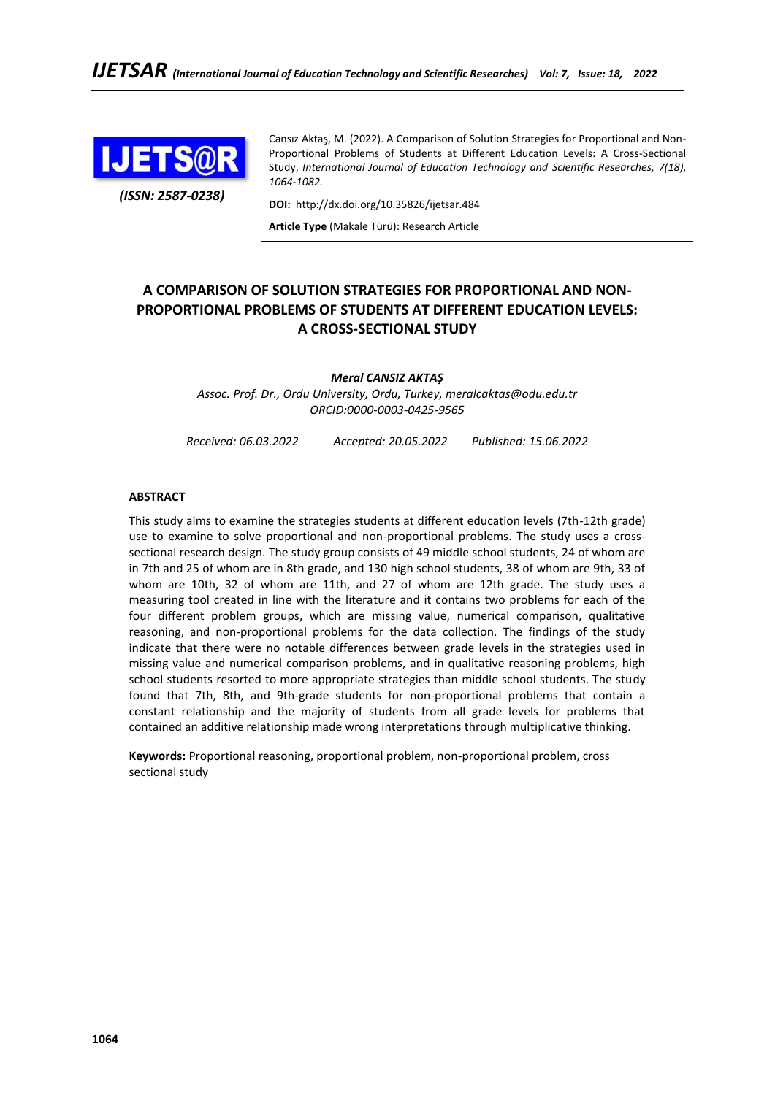

*(ISSN: 2587-0238)*

Cansız Aktaş, M. (2022). A Comparison of Solution Strategies for Proportional and Non-Proportional Problems of Students at Different Education Levels: A Cross-Sectional Study, *International Journal of Education Technology and Scientific Researches, 7(18), 1064-1082.*

**DOI:** http://dx.doi.org/10.35826/ijetsar.484

**Article Type** (Makale Türü): Research Article

# **A COMPARISON OF SOLUTION STRATEGIES FOR PROPORTIONAL AND NON-PROPORTIONAL PROBLEMS OF STUDENTS AT DIFFERENT EDUCATION LEVELS: A CROSS-SECTIONAL STUDY**

*Meral CANSIZ AKTAŞ*

*Assoc. Prof. Dr., Ordu University, Ordu, Turkey, meralcaktas@odu.edu.tr ORCID:0000-0003-0425-9565*

*Received: 06.03.2022 Accepted: 20.05.2022 Published: 15.06.2022*

# **ABSTRACT**

This study aims to examine the strategies students at different education levels (7th-12th grade) use to examine to solve proportional and non-proportional problems. The study uses a crosssectional research design. The study group consists of 49 middle school students, 24 of whom are in 7th and 25 of whom are in 8th grade, and 130 high school students, 38 of whom are 9th, 33 of whom are 10th, 32 of whom are 11th, and 27 of whom are 12th grade. The study uses a measuring tool created in line with the literature and it contains two problems for each of the four different problem groups, which are missing value, numerical comparison, qualitative reasoning, and non-proportional problems for the data collection. The findings of the study indicate that there were no notable differences between grade levels in the strategies used in missing value and numerical comparison problems, and in qualitative reasoning problems, high school students resorted to more appropriate strategies than middle school students. The study found that 7th, 8th, and 9th-grade students for non-proportional problems that contain a constant relationship and the majority of students from all grade levels for problems that contained an additive relationship made wrong interpretations through multiplicative thinking.

**Keywords:** Proportional reasoning, proportional problem, non-proportional problem, cross sectional study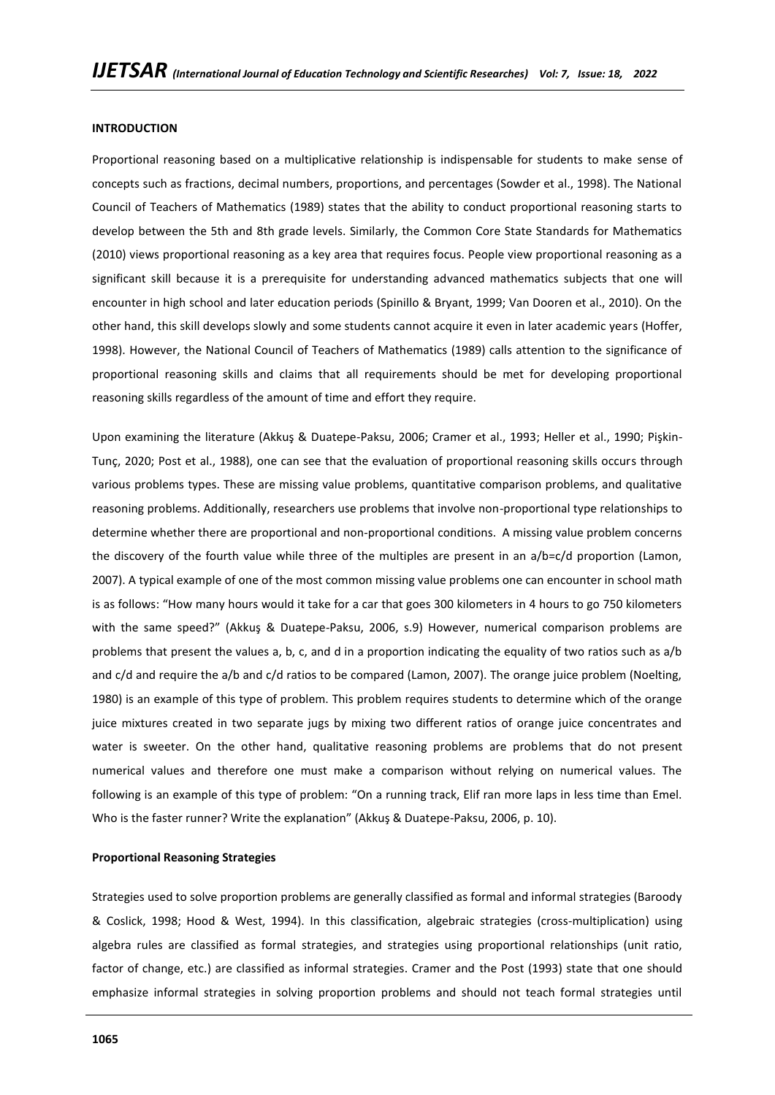#### **INTRODUCTION**

Proportional reasoning based on a multiplicative relationship is indispensable for students to make sense of concepts such as fractions, decimal numbers, proportions, and percentages (Sowder et al., 1998). The National Council of Teachers of Mathematics (1989) states that the ability to conduct proportional reasoning starts to develop between the 5th and 8th grade levels. Similarly, the Common Core State Standards for Mathematics (2010) views proportional reasoning as a key area that requires focus. People view proportional reasoning as a significant skill because it is a prerequisite for understanding advanced mathematics subjects that one will encounter in high school and later education periods (Spinillo & Bryant, 1999; Van Dooren et al., 2010). On the other hand, this skill develops slowly and some students cannot acquire it even in later academic years (Hoffer, 1998). However, the National Council of Teachers of Mathematics (1989) calls attention to the significance of proportional reasoning skills and claims that all requirements should be met for developing proportional reasoning skills regardless of the amount of time and effort they require.

Upon examining the literature (Akkuş & Duatepe-Paksu, 2006; Cramer et al., 1993; Heller et al., 1990; Pişkin-Tunç, 2020; Post et al., 1988), one can see that the evaluation of proportional reasoning skills occurs through various problems types. These are missing value problems, quantitative comparison problems, and qualitative reasoning problems. Additionally, researchers use problems that involve non-proportional type relationships to determine whether there are proportional and non-proportional conditions. A missing value problem concerns the discovery of the fourth value while three of the multiples are present in an a/b=c/d proportion (Lamon, 2007). A typical example of one of the most common missing value problems one can encounter in school math is as follows: "How many hours would it take for a car that goes 300 kilometers in 4 hours to go 750 kilometers with the same speed?" (Akkuş & Duatepe-Paksu, 2006, s.9) However, numerical comparison problems are problems that present the values a, b, c, and d in a proportion indicating the equality of two ratios such as a/b and c/d and require the a/b and c/d ratios to be compared (Lamon, 2007). The orange juice problem (Noelting, 1980) is an example of this type of problem. This problem requires students to determine which of the orange juice mixtures created in two separate jugs by mixing two different ratios of orange juice concentrates and water is sweeter. On the other hand, qualitative reasoning problems are problems that do not present numerical values and therefore one must make a comparison without relying on numerical values. The following is an example of this type of problem: "On a running track, Elif ran more laps in less time than Emel. Who is the faster runner? Write the explanation" (Akkuş & Duatepe-Paksu, 2006, p. 10).

#### **Proportional Reasoning Strategies**

Strategies used to solve proportion problems are generally classified as formal and informal strategies (Baroody & Coslick, 1998; Hood & West, 1994). In this classification, algebraic strategies (cross-multiplication) using algebra rules are classified as formal strategies, and strategies using proportional relationships (unit ratio, factor of change, etc.) are classified as informal strategies. Cramer and the Post (1993) state that one should emphasize informal strategies in solving proportion problems and should not teach formal strategies until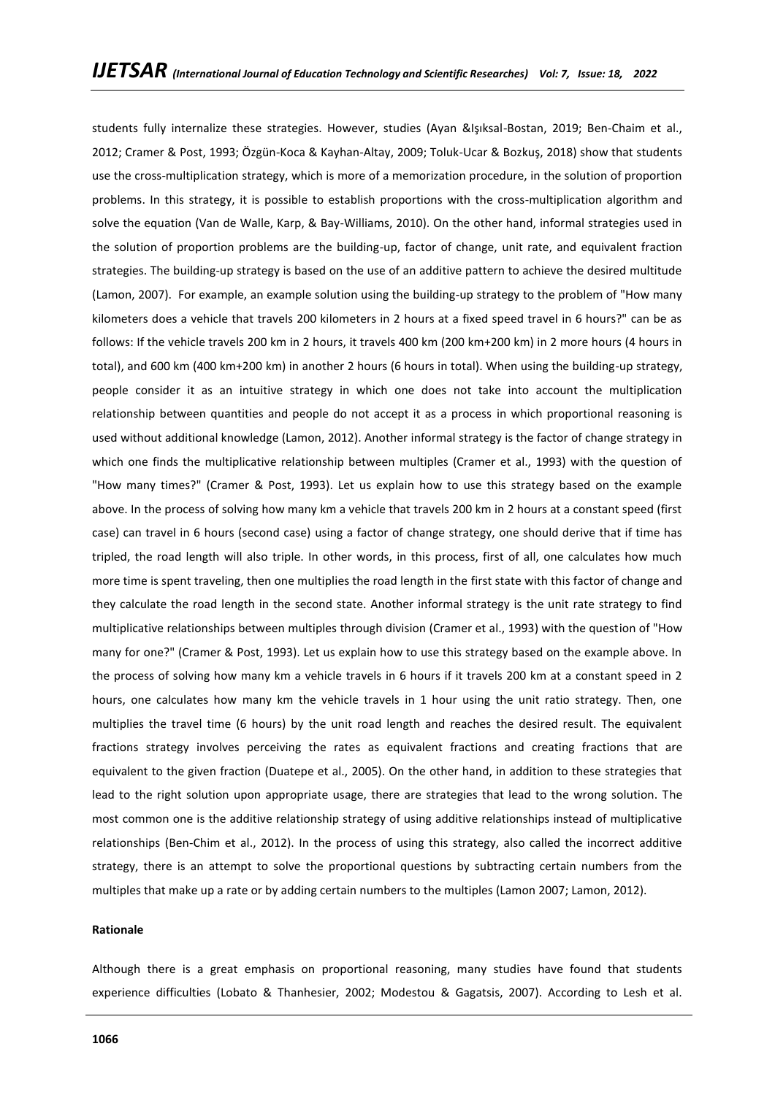students fully internalize these strategies. However, studies (Ayan &Işıksal-Bostan, 2019; Ben-Chaim et al., 2012; Cramer & Post, 1993; Özgün-Koca & Kayhan-Altay, 2009; Toluk-Ucar & Bozkuş, 2018) show that students use the cross-multiplication strategy, which is more of a memorization procedure, in the solution of proportion problems. In this strategy, it is possible to establish proportions with the cross-multiplication algorithm and solve the equation (Van de Walle, Karp, & Bay-Williams, 2010). On the other hand, informal strategies used in the solution of proportion problems are the building-up, factor of change, unit rate, and equivalent fraction strategies. The building-up strategy is based on the use of an additive pattern to achieve the desired multitude (Lamon, 2007). For example, an example solution using the building-up strategy to the problem of "How many kilometers does a vehicle that travels 200 kilometers in 2 hours at a fixed speed travel in 6 hours?" can be as follows: If the vehicle travels 200 km in 2 hours, it travels 400 km (200 km+200 km) in 2 more hours (4 hours in total), and 600 km (400 km+200 km) in another 2 hours (6 hours in total). When using the building-up strategy, people consider it as an intuitive strategy in which one does not take into account the multiplication relationship between quantities and people do not accept it as a process in which proportional reasoning is used without additional knowledge (Lamon, 2012). Another informal strategy is the factor of change strategy in which one finds the multiplicative relationship between multiples (Cramer et al., 1993) with the question of "How many times?" (Cramer & Post, 1993). Let us explain how to use this strategy based on the example above. In the process of solving how many km a vehicle that travels 200 km in 2 hours at a constant speed (first case) can travel in 6 hours (second case) using a factor of change strategy, one should derive that if time has tripled, the road length will also triple. In other words, in this process, first of all, one calculates how much more time is spent traveling, then one multiplies the road length in the first state with this factor of change and they calculate the road length in the second state. Another informal strategy is the unit rate strategy to find multiplicative relationships between multiples through division (Cramer et al., 1993) with the question of "How many for one?" (Cramer & Post, 1993). Let us explain how to use this strategy based on the example above. In the process of solving how many km a vehicle travels in 6 hours if it travels 200 km at a constant speed in 2 hours, one calculates how many km the vehicle travels in 1 hour using the unit ratio strategy. Then, one multiplies the travel time (6 hours) by the unit road length and reaches the desired result. The equivalent fractions strategy involves perceiving the rates as equivalent fractions and creating fractions that are equivalent to the given fraction (Duatepe et al., 2005). On the other hand, in addition to these strategies that lead to the right solution upon appropriate usage, there are strategies that lead to the wrong solution. The most common one is the additive relationship strategy of using additive relationships instead of multiplicative relationships (Ben-Chim et al., 2012). In the process of using this strategy, also called the incorrect additive strategy, there is an attempt to solve the proportional questions by subtracting certain numbers from the multiples that make up a rate or by adding certain numbers to the multiples (Lamon 2007; Lamon, 2012).

#### **Rationale**

Although there is a great emphasis on proportional reasoning, many studies have found that students experience difficulties (Lobato & Thanhesier, 2002; Modestou & Gagatsis, 2007). According to Lesh et al.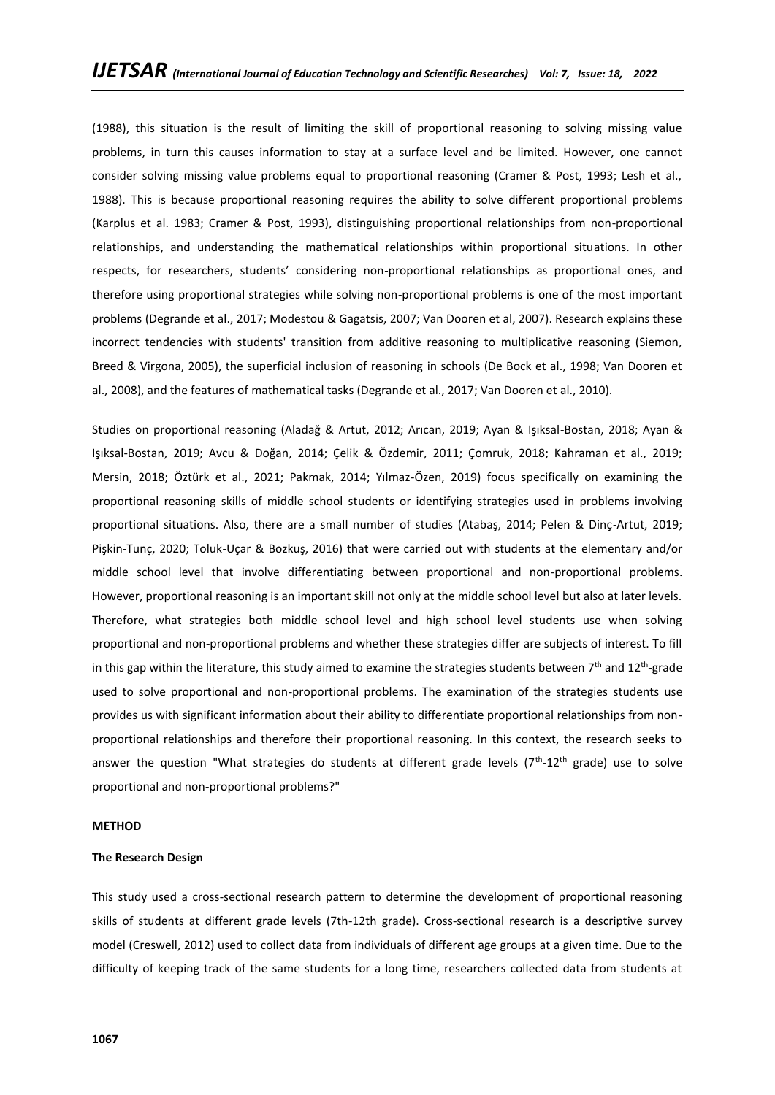(1988), this situation is the result of limiting the skill of proportional reasoning to solving missing value problems, in turn this causes information to stay at a surface level and be limited. However, one cannot consider solving missing value problems equal to proportional reasoning (Cramer & Post, 1993; Lesh et al., 1988). This is because proportional reasoning requires the ability to solve different proportional problems (Karplus et al. 1983; Cramer & Post, 1993), distinguishing proportional relationships from non-proportional relationships, and understanding the mathematical relationships within proportional situations. In other respects, for researchers, students' considering non-proportional relationships as proportional ones, and therefore using proportional strategies while solving non-proportional problems is one of the most important problems (Degrande et al., 2017; Modestou & Gagatsis, 2007; Van Dooren et al, 2007). Research explains these incorrect tendencies with students' transition from additive reasoning to multiplicative reasoning (Siemon, Breed & Virgona, 2005), the superficial inclusion of reasoning in schools (De Bock et al., 1998; Van Dooren et al., 2008), and the features of mathematical tasks (Degrande et al., 2017; Van Dooren et al., 2010).

Studies on proportional reasoning (Aladağ & Artut, 2012; Arıcan, 2019; Ayan & Işıksal-Bostan, 2018; Ayan & Işıksal-Bostan, 2019; Avcu & Doğan, 2014; Çelik & Özdemir, 2011; Çomruk, 2018; Kahraman et al., 2019; Mersin, 2018; Öztürk et al., 2021; Pakmak, 2014; Yılmaz-Özen, 2019) focus specifically on examining the proportional reasoning skills of middle school students or identifying strategies used in problems involving proportional situations. Also, there are a small number of studies (Atabaş, 2014; Pelen & Dinç-Artut, 2019; Pişkin-Tunç, 2020; Toluk-Uçar & Bozkuş, 2016) that were carried out with students at the elementary and/or middle school level that involve differentiating between proportional and non-proportional problems. However, proportional reasoning is an important skill not only at the middle school level but also at later levels. Therefore, what strategies both middle school level and high school level students use when solving proportional and non-proportional problems and whether these strategies differ are subjects of interest. To fill in this gap within the literature, this study aimed to examine the strategies students between 7<sup>th</sup> and 12<sup>th</sup>-grade used to solve proportional and non-proportional problems. The examination of the strategies students use provides us with significant information about their ability to differentiate proportional relationships from nonproportional relationships and therefore their proportional reasoning. In this context, the research seeks to answer the question "What strategies do students at different grade levels ( $7<sup>th</sup>$ -12<sup>th</sup> grade) use to solve proportional and non-proportional problems?"

#### **METHOD**

#### **The Research Design**

This study used a cross-sectional research pattern to determine the development of proportional reasoning skills of students at different grade levels (7th-12th grade). Cross-sectional research is a descriptive survey model (Creswell, 2012) used to collect data from individuals of different age groups at a given time. Due to the difficulty of keeping track of the same students for a long time, researchers collected data from students at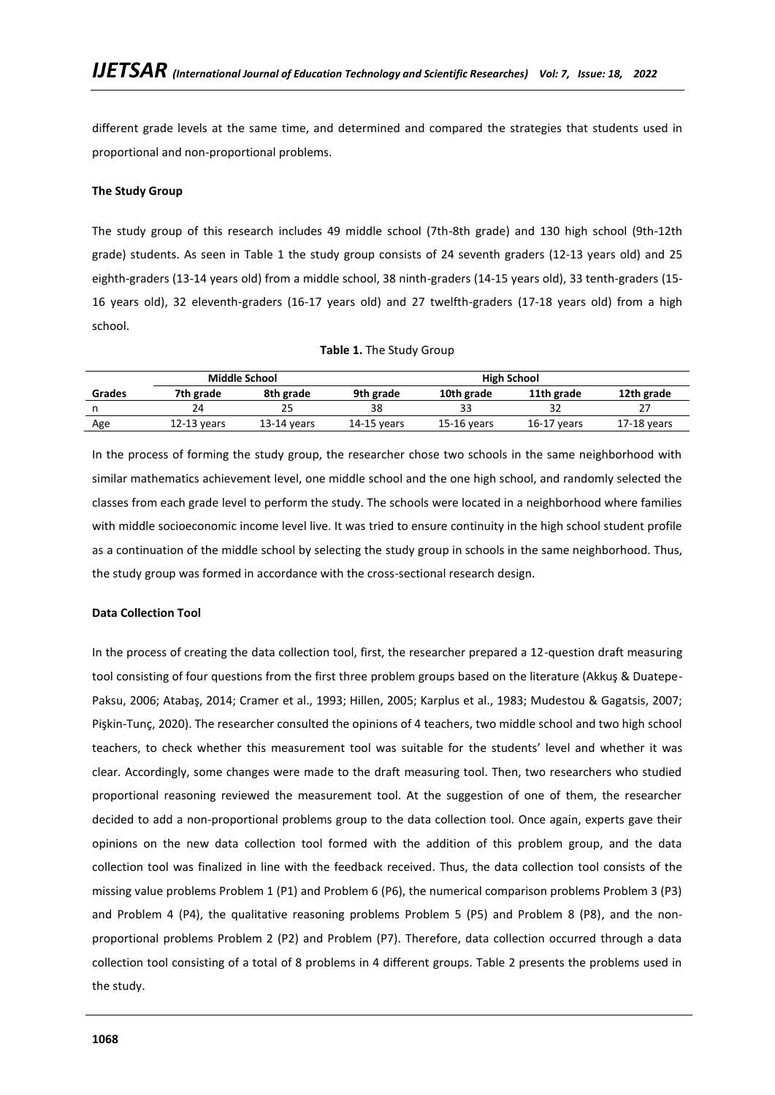different grade levels at the same time, and determined and compared the strategies that students used in proportional and non-proportional problems.

### **The Study Group**

The study group of this research includes 49 middle school (7th-8th grade) and 130 high school (9th-12th grade) students. As seen in Table 1 the study group consists of 24 seventh graders (12-13 years old) and 25 eighth-graders (13-14 years old) from a middle school, 38 ninth-graders (14-15 years old), 33 tenth-graders (15- 16 years old), 32 eleventh-graders (16-17 years old) and 27 twelfth-graders (17-18 years old) from a high school.

| Table 1. The Study Group |  |  |  |
|--------------------------|--|--|--|
|--------------------------|--|--|--|

|        |               | Middle School |             | <b>High School</b> |               |             |  |
|--------|---------------|---------------|-------------|--------------------|---------------|-------------|--|
| Grades | 7th grade     | 8th grade     | 9th grade   | 10th grade         | 11th grade    | 12th grade  |  |
|        |               |               | 38          |                    |               |             |  |
| Age    | $12-13$ years | $13-14$ vears | 14-15 vears | $15-16$ years      | $16-17$ years | 17-18 years |  |

In the process of forming the study group, the researcher chose two schools in the same neighborhood with similar mathematics achievement level, one middle school and the one high school, and randomly selected the classes from each grade level to perform the study. The schools were located in a neighborhood where families with middle socioeconomic income level live. It was tried to ensure continuity in the high school student profile as a continuation of the middle school by selecting the study group in schools in the same neighborhood. Thus, the study group was formed in accordance with the cross-sectional research design.

#### **Data Collection Tool**

In the process of creating the data collection tool, first, the researcher prepared a 12-question draft measuring tool consisting of four questions from the first three problem groups based on the literature (Akkuş & Duatepe-Paksu, 2006; Atabaş, 2014; Cramer et al., 1993; Hillen, 2005; Karplus et al., 1983; Mudestou & Gagatsis, 2007; Pişkin-Tunç, 2020). The researcher consulted the opinions of 4 teachers, two middle school and two high school teachers, to check whether this measurement tool was suitable for the students' level and whether it was clear. Accordingly, some changes were made to the draft measuring tool. Then, two researchers who studied proportional reasoning reviewed the measurement tool. At the suggestion of one of them, the researcher decided to add a non-proportional problems group to the data collection tool. Once again, experts gave their opinions on the new data collection tool formed with the addition of this problem group, and the data collection tool was finalized in line with the feedback received. Thus, the data collection tool consists of the missing value problems Problem 1 (P1) and Problem 6 (P6), the numerical comparison problems Problem 3 (P3) and Problem 4 (P4), the qualitative reasoning problems Problem 5 (P5) and Problem 8 (P8), and the nonproportional problems Problem 2 (P2) and Problem (P7). Therefore, data collection occurred through a data collection tool consisting of a total of 8 problems in 4 different groups. Table 2 presents the problems used in the study.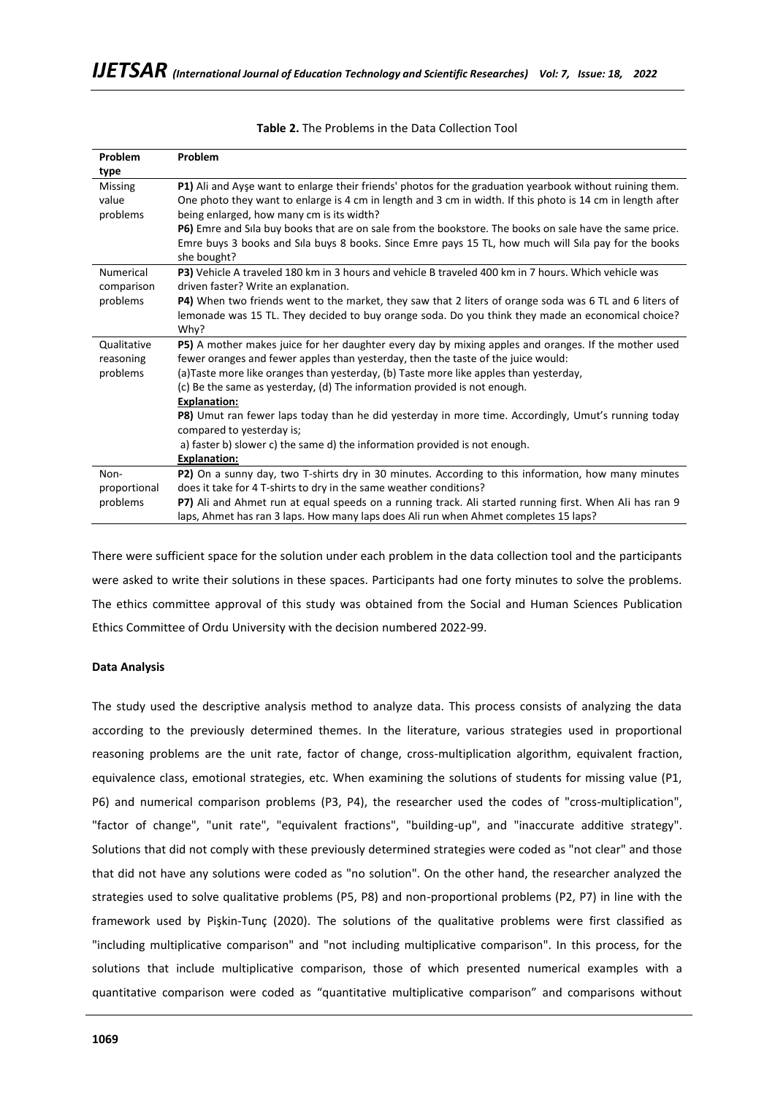| Problem          | Problem                                                                                                    |
|------------------|------------------------------------------------------------------------------------------------------------|
| type             |                                                                                                            |
| <b>Missing</b>   | P1) Ali and Ayşe want to enlarge their friends' photos for the graduation yearbook without ruining them.   |
| value            | One photo they want to enlarge is 4 cm in length and 3 cm in width. If this photo is 14 cm in length after |
| problems         | being enlarged, how many cm is its width?                                                                  |
|                  | P6) Emre and Sila buy books that are on sale from the bookstore. The books on sale have the same price.    |
|                  | Emre buys 3 books and Sila buys 8 books. Since Emre pays 15 TL, how much will Sila pay for the books       |
|                  | she bought?                                                                                                |
| <b>Numerical</b> | P3) Vehicle A traveled 180 km in 3 hours and vehicle B traveled 400 km in 7 hours. Which vehicle was       |
| comparison       | driven faster? Write an explanation.                                                                       |
| problems         | P4) When two friends went to the market, they saw that 2 liters of orange soda was 6 TL and 6 liters of    |
|                  | lemonade was 15 TL. They decided to buy orange soda. Do you think they made an economical choice?          |
|                  | Why?                                                                                                       |
| Qualitative      | P5) A mother makes juice for her daughter every day by mixing apples and oranges. If the mother used       |
| reasoning        | fewer oranges and fewer apples than yesterday, then the taste of the juice would:                          |
| problems         | (a)Taste more like oranges than yesterday, (b) Taste more like apples than yesterday,                      |
|                  | (c) Be the same as yesterday, (d) The information provided is not enough.                                  |
|                  | <b>Explanation:</b>                                                                                        |
|                  | P8) Umut ran fewer laps today than he did yesterday in more time. Accordingly, Umut's running today        |
|                  | compared to yesterday is;                                                                                  |
|                  | a) faster b) slower c) the same d) the information provided is not enough.                                 |
|                  | <b>Explanation:</b>                                                                                        |
| Non-             | P2) On a sunny day, two T-shirts dry in 30 minutes. According to this information, how many minutes        |
| proportional     | does it take for 4 T-shirts to dry in the same weather conditions?                                         |
| problems         | P7) Ali and Ahmet run at equal speeds on a running track. Ali started running first. When Ali has ran 9    |
|                  | laps, Ahmet has ran 3 laps. How many laps does Ali run when Ahmet completes 15 laps?                       |

### **Table 2.** The Problems in the Data Collection Tool

There were sufficient space for the solution under each problem in the data collection tool and the participants were asked to write their solutions in these spaces. Participants had one forty minutes to solve the problems. The ethics committee approval of this study was obtained from the Social and Human Sciences Publication Ethics Committee of Ordu University with the decision numbered 2022-99.

#### **Data Analysis**

The study used the descriptive analysis method to analyze data. This process consists of analyzing the data according to the previously determined themes. In the literature, various strategies used in proportional reasoning problems are the unit rate, factor of change, cross-multiplication algorithm, equivalent fraction, equivalence class, emotional strategies, etc. When examining the solutions of students for missing value (P1, P6) and numerical comparison problems (P3, P4), the researcher used the codes of "cross-multiplication", "factor of change", "unit rate", "equivalent fractions", "building-up", and "inaccurate additive strategy". Solutions that did not comply with these previously determined strategies were coded as "not clear" and those that did not have any solutions were coded as "no solution". On the other hand, the researcher analyzed the strategies used to solve qualitative problems (P5, P8) and non-proportional problems (P2, P7) in line with the framework used by Pişkin-Tunç (2020). The solutions of the qualitative problems were first classified as "including multiplicative comparison" and "not including multiplicative comparison". In this process, for the solutions that include multiplicative comparison, those of which presented numerical examples with a quantitative comparison were coded as "quantitative multiplicative comparison" and comparisons without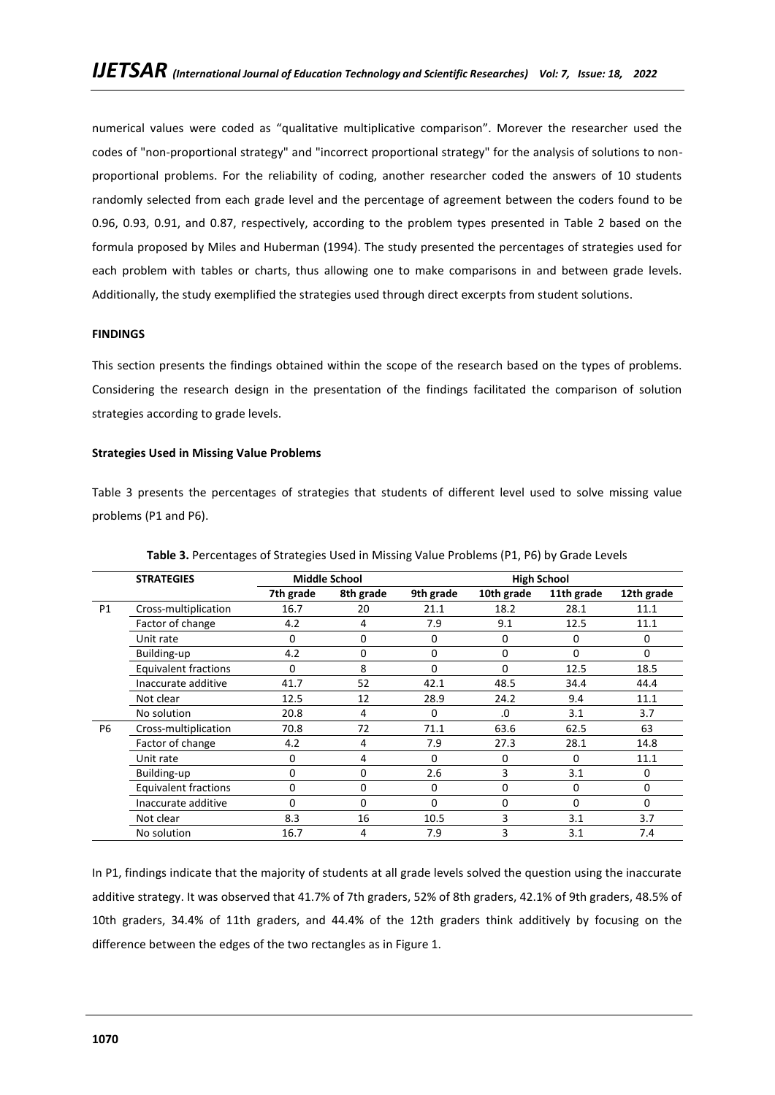numerical values were coded as "qualitative multiplicative comparison". Morever the researcher used the codes of "non-proportional strategy" and "incorrect proportional strategy" for the analysis of solutions to nonproportional problems. For the reliability of coding, another researcher coded the answers of 10 students randomly selected from each grade level and the percentage of agreement between the coders found to be 0.96, 0.93, 0.91, and 0.87, respectively, according to the problem types presented in Table 2 based on the formula proposed by Miles and Huberman (1994). The study presented the percentages of strategies used for each problem with tables or charts, thus allowing one to make comparisons in and between grade levels. Additionally, the study exemplified the strategies used through direct excerpts from student solutions.

# **FINDINGS**

This section presents the findings obtained within the scope of the research based on the types of problems. Considering the research design in the presentation of the findings facilitated the comparison of solution strategies according to grade levels.

### **Strategies Used in Missing Value Problems**

Table 3 presents the percentages of strategies that students of different level used to solve missing value problems (P1 and P6).

|           | <b>STRATEGIES</b>           |           | <b>Middle School</b> | <b>High School</b> |             |            |            |  |
|-----------|-----------------------------|-----------|----------------------|--------------------|-------------|------------|------------|--|
|           |                             | 7th grade | 8th grade            | 9th grade          | 10th grade  | 11th grade | 12th grade |  |
| P1        | Cross-multiplication        | 16.7      | 20                   | 21.1               | 18.2        | 28.1       | 11.1       |  |
|           | Factor of change            | 4.2       | 4                    | 7.9                | 9.1         | 12.5       | 11.1       |  |
|           | Unit rate                   | 0         | 0                    | 0                  | 0           | 0          | 0          |  |
|           | Building-up                 | 4.2       | $\mathbf 0$          | 0                  | $\mathbf 0$ | $\Omega$   | 0          |  |
|           | <b>Equivalent fractions</b> | 0         | 8                    | 0                  | $\Omega$    | 12.5       | 18.5       |  |
|           | Inaccurate additive         | 41.7      | 52                   | 42.1               | 48.5        | 34.4       | 44.4       |  |
|           | Not clear                   | 12.5      | 12                   | 28.9               | 24.2        | 9.4        | 11.1       |  |
|           | No solution                 | 20.8      | 4                    | $\Omega$           | .0          | 3.1        | 3.7        |  |
| <b>P6</b> | Cross-multiplication        | 70.8      | 72                   | 71.1               | 63.6        | 62.5       | 63         |  |
|           | Factor of change            | 4.2       | 4                    | 7.9                | 27.3        | 28.1       | 14.8       |  |
|           | Unit rate                   | 0         | 4                    | $\Omega$           | 0           | $\Omega$   | 11.1       |  |
|           | Building-up                 | 0         | $\mathbf 0$          | 2.6                | 3           | 3.1        | 0          |  |
|           | Equivalent fractions        | O         | 0                    | O                  | 0           | 0          | 0          |  |
|           | Inaccurate additive         | 0         | 0                    | $\Omega$           | 0           | 0          | 0          |  |
|           | Not clear                   | 8.3       | 16                   | 10.5               | 3           | 3.1        | 3.7        |  |
|           | No solution                 | 16.7      | 4                    | 7.9                | 3           | 3.1        | 7.4        |  |

**Table 3.** Percentages of Strategies Used in Missing Value Problems (P1, P6) by Grade Levels

In P1, findings indicate that the majority of students at all grade levels solved the question using the inaccurate additive strategy. It was observed that 41.7% of 7th graders, 52% of 8th graders, 42.1% of 9th graders, 48.5% of 10th graders, 34.4% of 11th graders, and 44.4% of the 12th graders think additively by focusing on the difference between the edges of the two rectangles as in Figure 1.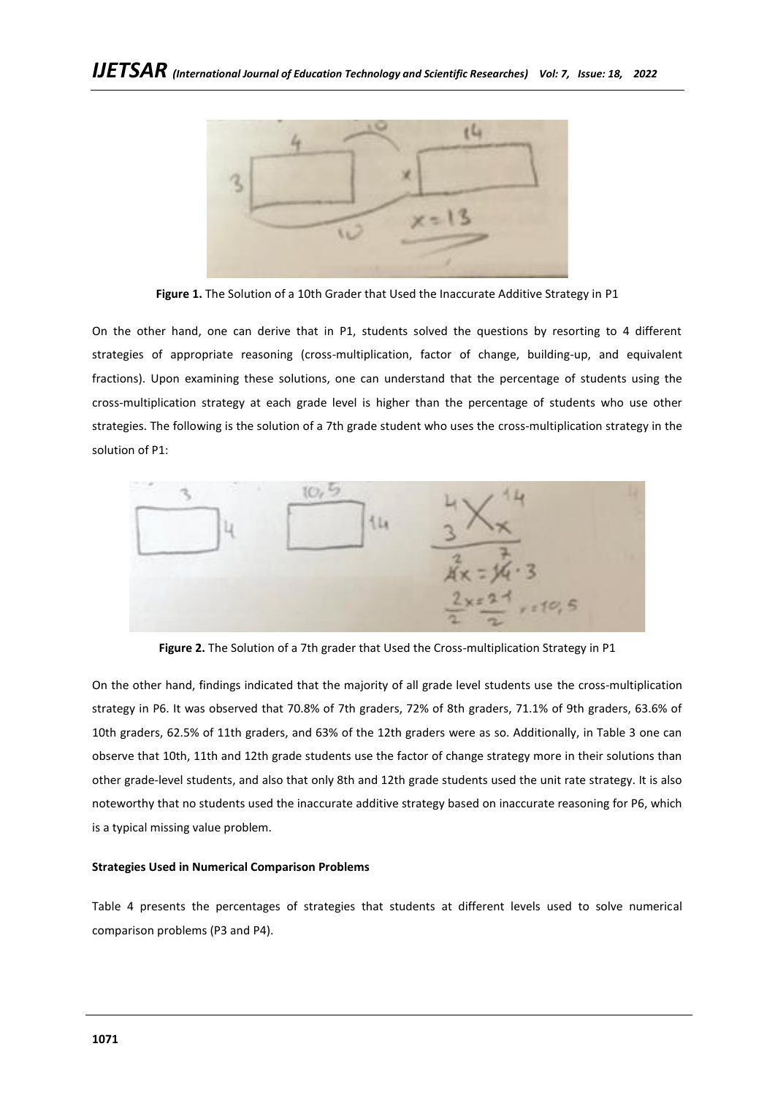

**Figure 1.** The Solution of a 10th Grader that Used the Inaccurate Additive Strategy in P1

On the other hand, one can derive that in P1, students solved the questions by resorting to 4 different strategies of appropriate reasoning (cross-multiplication, factor of change, building-up, and equivalent fractions). Upon examining these solutions, one can understand that the percentage of students using the cross-multiplication strategy at each grade level is higher than the percentage of students who use other strategies. The following is the solution of a 7th grade student who uses the cross-multiplication strategy in the solution of P1:



**Figure 2.** The Solution of a 7th grader that Used the Cross-multiplication Strategy in P1

On the other hand, findings indicated that the majority of all grade level students use the cross-multiplication strategy in P6. It was observed that 70.8% of 7th graders, 72% of 8th graders, 71.1% of 9th graders, 63.6% of 10th graders, 62.5% of 11th graders, and 63% of the 12th graders were as so. Additionally, in Table 3 one can observe that 10th, 11th and 12th grade students use the factor of change strategy more in their solutions than other grade-level students, and also that only 8th and 12th grade students used the unit rate strategy. It is also noteworthy that no students used the inaccurate additive strategy based on inaccurate reasoning for P6, which is a typical missing value problem.

# **Strategies Used in Numerical Comparison Problems**

Table 4 presents the percentages of strategies that students at different levels used to solve numerical comparison problems (P3 and P4).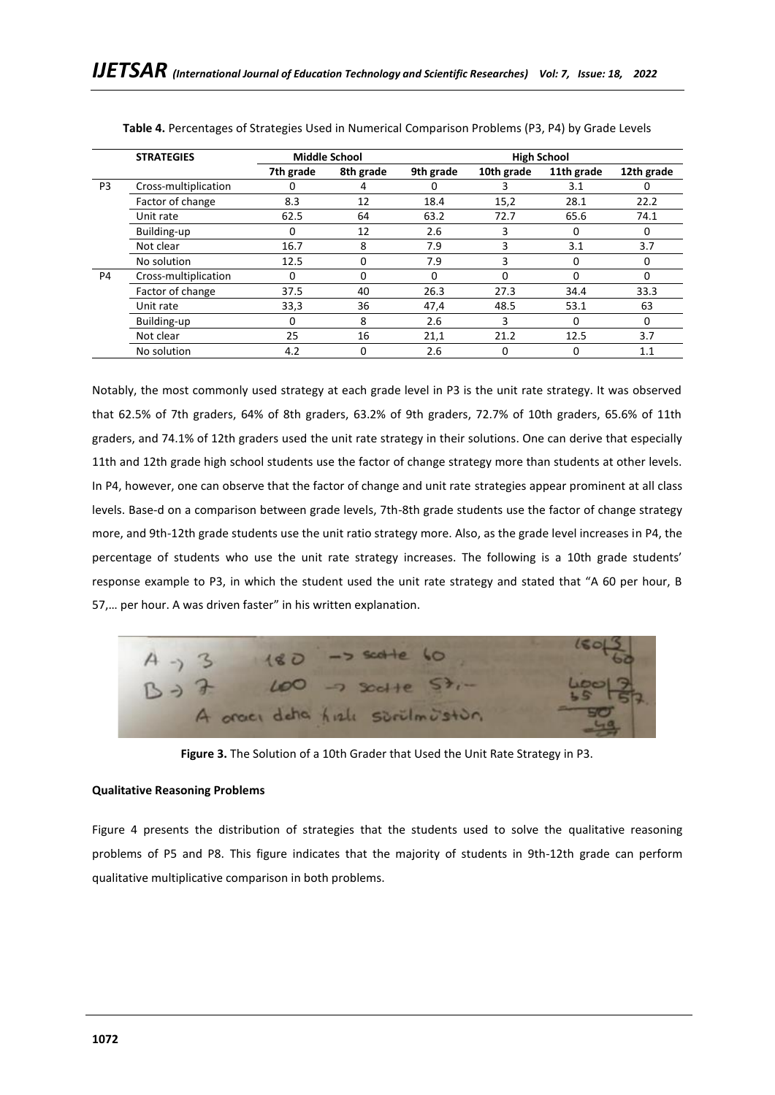|    | <b>STRATEGIES</b>    |           | <b>Middle School</b> |           | <b>High School</b> |            |            |  |  |
|----|----------------------|-----------|----------------------|-----------|--------------------|------------|------------|--|--|
|    |                      | 7th grade | 8th grade            | 9th grade | 10th grade         | 11th grade | 12th grade |  |  |
| P3 | Cross-multiplication | ი         | 4                    | O         | 3                  | 3.1        | O          |  |  |
|    | Factor of change     | 8.3       | 12                   | 18.4      | 15,2               | 28.1       | 22.2       |  |  |
|    | Unit rate            | 62.5      | 64                   | 63.2      | 72.7               | 65.6       | 74.1       |  |  |
|    | Building-up          | 0         | 12                   | 2.6       | 3                  | 0          | 0          |  |  |
|    | Not clear            | 16.7      | 8                    | 7.9       | 3                  | 3.1        | 3.7        |  |  |
|    | No solution          | 12.5      | $\Omega$             | 7.9       | 3                  | 0          | 0          |  |  |
| P4 | Cross-multiplication | 0         | 0                    | $\Omega$  | $\Omega$           | O          | 0          |  |  |
|    | Factor of change     | 37.5      | 40                   | 26.3      | 27.3               | 34.4       | 33.3       |  |  |
|    | Unit rate            | 33,3      | 36                   | 47,4      | 48.5               | 53.1       | 63         |  |  |
|    | Building-up          | O         | 8                    | 2.6       | 3                  | O          | 0          |  |  |
|    | Not clear            | 25        | 16                   | 21,1      | 21.2               | 12.5       | 3.7        |  |  |
|    | No solution          | 4.2       | $\Omega$             | 2.6       | $\mathbf 0$        | 0          | 1.1        |  |  |

**Table 4.** Percentages of Strategies Used in Numerical Comparison Problems (P3, P4) by Grade Levels

Notably, the most commonly used strategy at each grade level in P3 is the unit rate strategy. It was observed that 62.5% of 7th graders, 64% of 8th graders, 63.2% of 9th graders, 72.7% of 10th graders, 65.6% of 11th graders, and 74.1% of 12th graders used the unit rate strategy in their solutions. One can derive that especially 11th and 12th grade high school students use the factor of change strategy more than students at other levels. In P4, however, one can observe that the factor of change and unit rate strategies appear prominent at all class levels. Base-d on a comparison between grade levels, 7th-8th grade students use the factor of change strategy more, and 9th-12th grade students use the unit ratio strategy more. Also, as the grade level increases in P4, the percentage of students who use the unit rate strategy increases. The following is a 10th grade students' response example to P3, in which the student used the unit rate strategy and stated that "A 60 per hour, B 57,… per hour. A was driven faster" in his written explanation.



**Figure 3.** The Solution of a 10th Grader that Used the Unit Rate Strategy in P3.

## **Qualitative Reasoning Problems**

Figure 4 presents the distribution of strategies that the students used to solve the qualitative reasoning problems of P5 and P8. This figure indicates that the majority of students in 9th-12th grade can perform qualitative multiplicative comparison in both problems.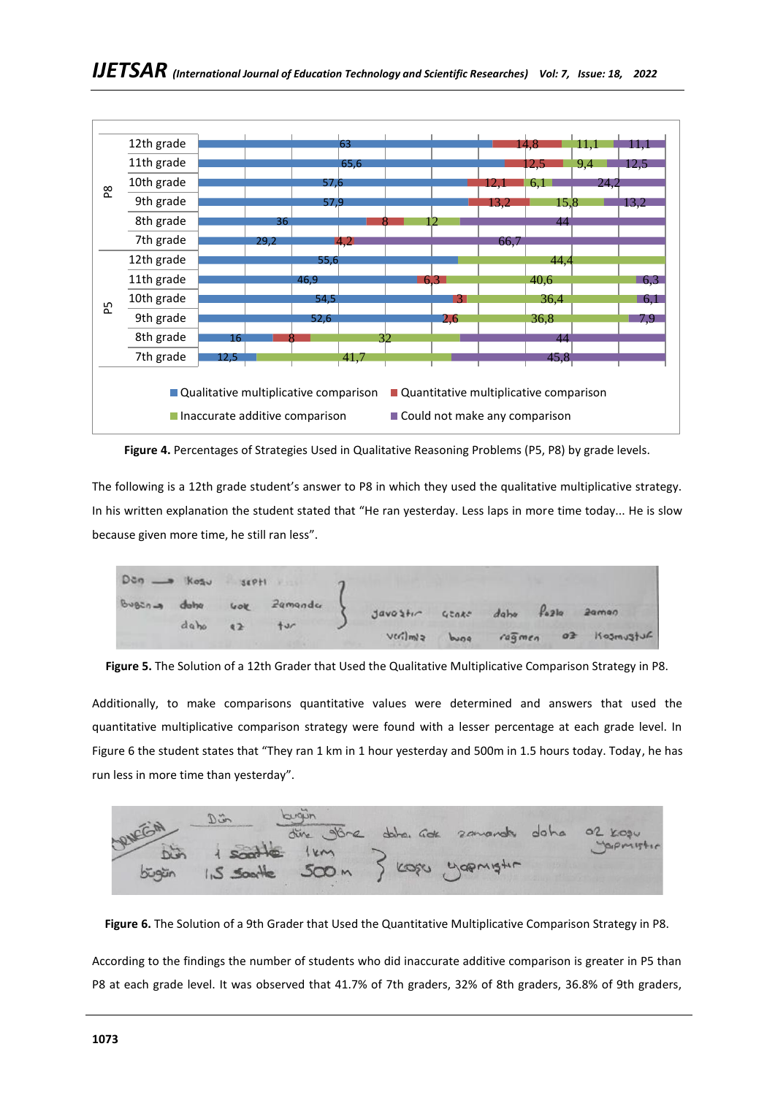

**Figure 4.** Percentages of Strategies Used in Qualitative Reasoning Problems (P5, P8) by grade levels.

The following is a 12th grade student's answer to P8 in which they used the qualitative multiplicative strategy. In his written explanation the student stated that "He ran yesterday. Less laps in more time today... He is slow because given more time, he still ran less".

| $D \circ \eta \longrightarrow K \circ \eta \circ \eta$ septi $\eta$ |                  |                           |                                 |  |                                   |
|---------------------------------------------------------------------|------------------|---------------------------|---------------------------------|--|-----------------------------------|
|                                                                     |                  | Bugens dotte vok Zemender | Javostir usake daho fozia zamon |  |                                   |
|                                                                     | $dab\omega$ $q2$ | $+u$                      |                                 |  |                                   |
|                                                                     |                  |                           |                                 |  | verilmiz bung ragmen of kosmustur |

**Figure 5.** The Solution of a 12th Grader that Used the Qualitative Multiplicative Comparison Strategy in P8.

Additionally, to make comparisons quantitative values were determined and answers that used the quantitative multiplicative comparison strategy were found with a lesser percentage at each grade level. In Figure 6 the student states that "They ran 1 km in 1 hour yesterday and 500m in 1.5 hours today. Today, he has run less in more time than yesterday".



**Figure 6.** The Solution of a 9th Grader that Used the Quantitative Multiplicative Comparison Strategy in P8.

According to the findings the number of students who did inaccurate additive comparison is greater in P5 than P8 at each grade level. It was observed that 41.7% of 7th graders, 32% of 8th graders, 36.8% of 9th graders,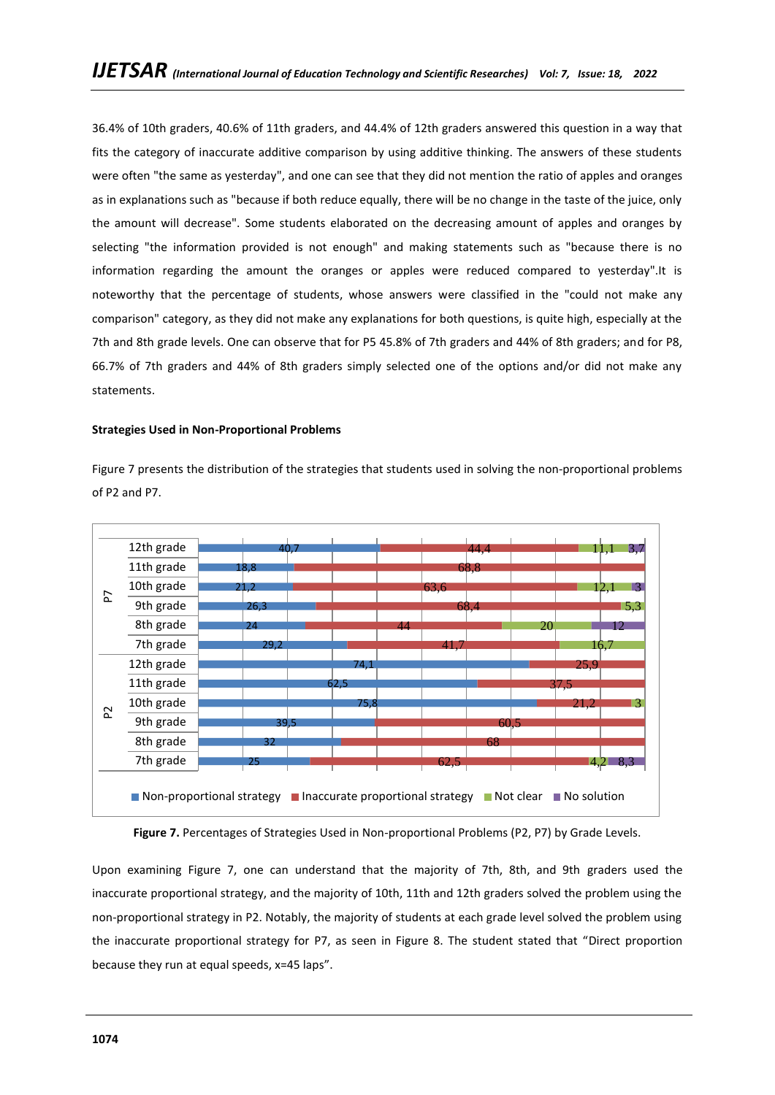36.4% of 10th graders, 40.6% of 11th graders, and 44.4% of 12th graders answered this question in a way that fits the category of inaccurate additive comparison by using additive thinking. The answers of these students were often "the same as yesterday", and one can see that they did not mention the ratio of apples and oranges as in explanations such as "because if both reduce equally, there will be no change in the taste of the juice, only the amount will decrease". Some students elaborated on the decreasing amount of apples and oranges by selecting "the information provided is not enough" and making statements such as "because there is no information regarding the amount the oranges or apples were reduced compared to yesterday".It is noteworthy that the percentage of students, whose answers were classified in the "could not make any comparison" category, as they did not make any explanations for both questions, is quite high, especially at the 7th and 8th grade levels. One can observe that for P5 45.8% of 7th graders and 44% of 8th graders; and for P8, 66.7% of 7th graders and 44% of 8th graders simply selected one of the options and/or did not make any statements.

### **Strategies Used in Non-Proportional Problems**

Figure 7 presents the distribution of the strategies that students used in solving the non-proportional problems of P2 and P7.



Figure 7. Percentages of Strategies Used in Non-proportional Problems (P2, P7) by Grade Levels.

Upon examining Figure 7, one can understand that the majority of 7th, 8th, and 9th graders used the inaccurate proportional strategy, and the majority of 10th, 11th and 12th graders solved the problem using the non-proportional strategy in P2. Notably, the majority of students at each grade level solved the problem using the inaccurate proportional strategy for P7, as seen in Figure 8. The student stated that "Direct proportion because they run at equal speeds, x=45 laps".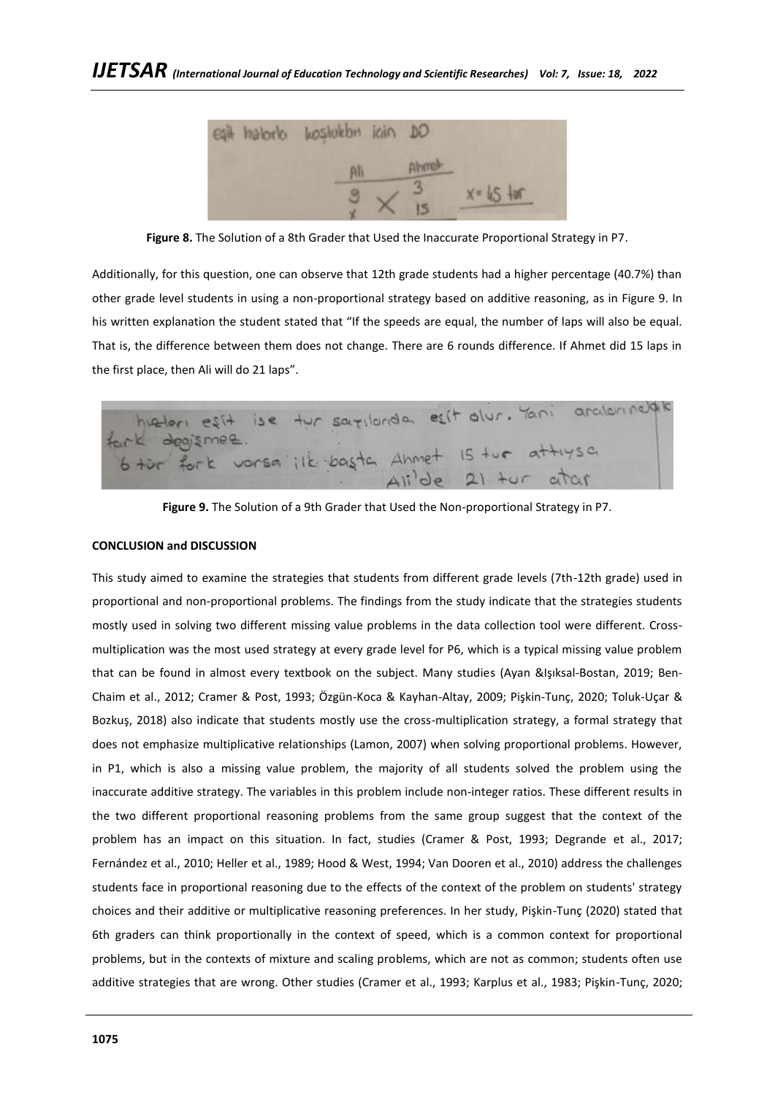

**Figure 8.** The Solution of a 8th Grader that Used the Inaccurate Proportional Strategy in P7.

Additionally, for this question, one can observe that 12th grade students had a higher percentage (40.7%) than other grade level students in using a non-proportional strategy based on additive reasoning, as in Figure 9. In his written explanation the student stated that "If the speeds are equal, the number of laps will also be equal. That is, the difference between them does not change. There are 6 rounds difference. If Ahmet did 15 laps in the first place, then Ali will do 21 laps".

hielen est ise tur sarrianda est dur. Yani aralannelak<br>ark degismee.<br>6 tor fork vorsa ilk basta Ahmet 15 tur attiysa

**Figure 9.** The Solution of a 9th Grader that Used the Non-proportional Strategy in P7.

# **CONCLUSION and DISCUSSION**

This study aimed to examine the strategies that students from different grade levels (7th-12th grade) used in proportional and non-proportional problems. The findings from the study indicate that the strategies students mostly used in solving two different missing value problems in the data collection tool were different. Crossmultiplication was the most used strategy at every grade level for P6, which is a typical missing value problem that can be found in almost every textbook on the subject. Many studies (Ayan &Işıksal-Bostan, 2019; Ben-Chaim et al., 2012; Cramer & Post, 1993; Özgün-Koca & Kayhan-Altay, 2009; Pişkin-Tunç, 2020; Toluk-Uçar & Bozkuş, 2018) also indicate that students mostly use the cross-multiplication strategy, a formal strategy that does not emphasize multiplicative relationships (Lamon, 2007) when solving proportional problems. However, in P1, which is also a missing value problem, the majority of all students solved the problem using the inaccurate additive strategy. The variables in this problem include non-integer ratios. These different results in the two different proportional reasoning problems from the same group suggest that the context of the problem has an impact on this situation. In fact, studies (Cramer & Post, 1993; Degrande et al., 2017; Fernández et al., 2010; Heller et al., 1989; Hood & West, 1994; Van Dooren et al., 2010) address the challenges students face in proportional reasoning due to the effects of the context of the problem on students' strategy choices and their additive or multiplicative reasoning preferences. In her study, Pişkin-Tunç (2020) stated that 6th graders can think proportionally in the context of speed, which is a common context for proportional problems, but in the contexts of mixture and scaling problems, which are not as common; students often use additive strategies that are wrong. Other studies (Cramer et al., 1993; Karplus et al., 1983; Pişkin-Tunç, 2020;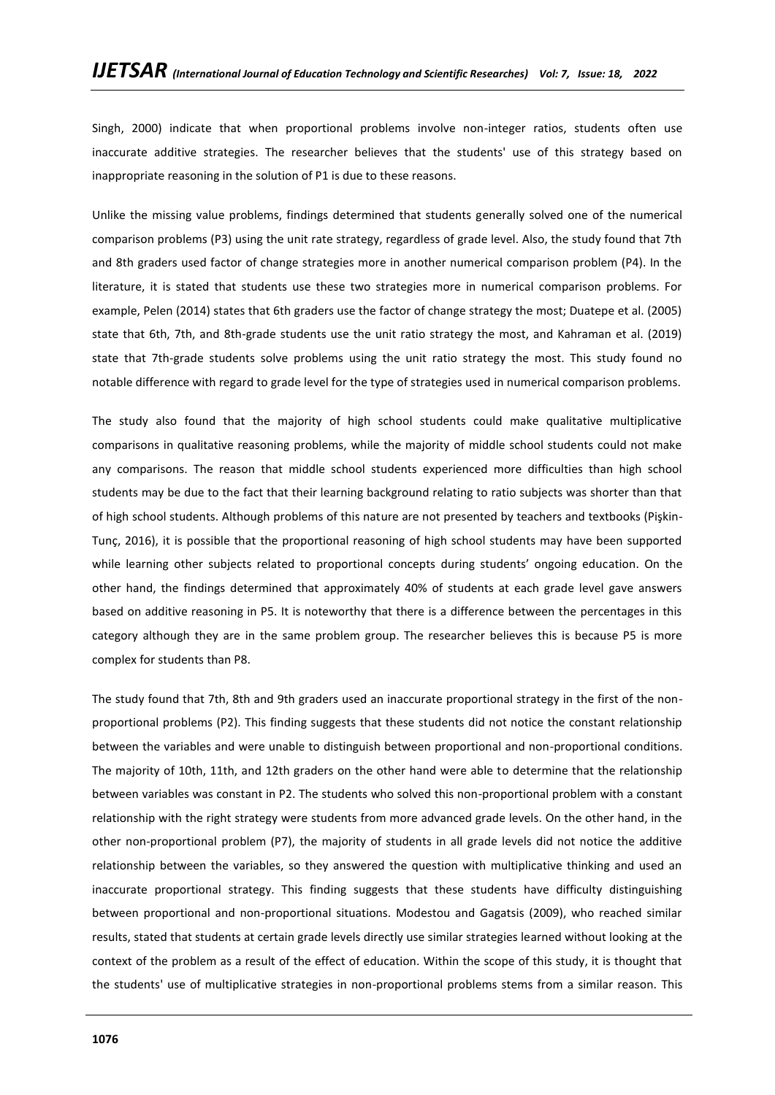Singh, 2000) indicate that when proportional problems involve non-integer ratios, students often use inaccurate additive strategies. The researcher believes that the students' use of this strategy based on inappropriate reasoning in the solution of P1 is due to these reasons.

Unlike the missing value problems, findings determined that students generally solved one of the numerical comparison problems (P3) using the unit rate strategy, regardless of grade level. Also, the study found that 7th and 8th graders used factor of change strategies more in another numerical comparison problem (P4). In the literature, it is stated that students use these two strategies more in numerical comparison problems. For example, Pelen (2014) states that 6th graders use the factor of change strategy the most; Duatepe et al. (2005) state that 6th, 7th, and 8th-grade students use the unit ratio strategy the most, and Kahraman et al. (2019) state that 7th-grade students solve problems using the unit ratio strategy the most. This study found no notable difference with regard to grade level for the type of strategies used in numerical comparison problems.

The study also found that the majority of high school students could make qualitative multiplicative comparisons in qualitative reasoning problems, while the majority of middle school students could not make any comparisons. The reason that middle school students experienced more difficulties than high school students may be due to the fact that their learning background relating to ratio subjects was shorter than that of high school students. Although problems of this nature are not presented by teachers and textbooks (Pişkin-Tunç, 2016), it is possible that the proportional reasoning of high school students may have been supported while learning other subjects related to proportional concepts during students' ongoing education. On the other hand, the findings determined that approximately 40% of students at each grade level gave answers based on additive reasoning in P5. It is noteworthy that there is a difference between the percentages in this category although they are in the same problem group. The researcher believes this is because P5 is more complex for students than P8.

The study found that 7th, 8th and 9th graders used an inaccurate proportional strategy in the first of the nonproportional problems (P2). This finding suggests that these students did not notice the constant relationship between the variables and were unable to distinguish between proportional and non-proportional conditions. The majority of 10th, 11th, and 12th graders on the other hand were able to determine that the relationship between variables was constant in P2. The students who solved this non-proportional problem with a constant relationship with the right strategy were students from more advanced grade levels. On the other hand, in the other non-proportional problem (P7), the majority of students in all grade levels did not notice the additive relationship between the variables, so they answered the question with multiplicative thinking and used an inaccurate proportional strategy. This finding suggests that these students have difficulty distinguishing between proportional and non-proportional situations. Modestou and Gagatsis (2009), who reached similar results, stated that students at certain grade levels directly use similar strategies learned without looking at the context of the problem as a result of the effect of education. Within the scope of this study, it is thought that the students' use of multiplicative strategies in non-proportional problems stems from a similar reason. This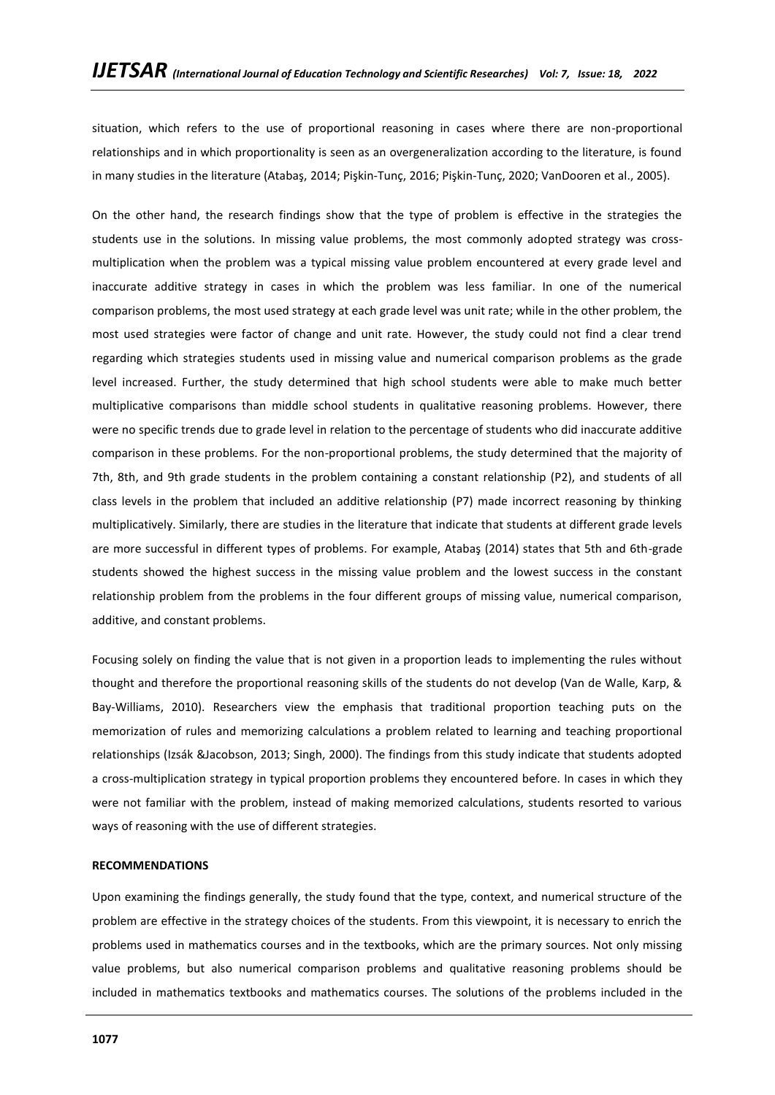situation, which refers to the use of proportional reasoning in cases where there are non-proportional relationships and in which proportionality is seen as an overgeneralization according to the literature, is found in many studies in the literature (Atabaş, 2014; Pişkin-Tunç, 2016; Pişkin-Tunç, 2020; VanDooren et al., 2005).

On the other hand, the research findings show that the type of problem is effective in the strategies the students use in the solutions. In missing value problems, the most commonly adopted strategy was crossmultiplication when the problem was a typical missing value problem encountered at every grade level and inaccurate additive strategy in cases in which the problem was less familiar. In one of the numerical comparison problems, the most used strategy at each grade level was unit rate; while in the other problem, the most used strategies were factor of change and unit rate. However, the study could not find a clear trend regarding which strategies students used in missing value and numerical comparison problems as the grade level increased. Further, the study determined that high school students were able to make much better multiplicative comparisons than middle school students in qualitative reasoning problems. However, there were no specific trends due to grade level in relation to the percentage of students who did inaccurate additive comparison in these problems. For the non-proportional problems, the study determined that the majority of 7th, 8th, and 9th grade students in the problem containing a constant relationship (P2), and students of all class levels in the problem that included an additive relationship (P7) made incorrect reasoning by thinking multiplicatively. Similarly, there are studies in the literature that indicate that students at different grade levels are more successful in different types of problems. For example, Atabaş (2014) states that 5th and 6th-grade students showed the highest success in the missing value problem and the lowest success in the constant relationship problem from the problems in the four different groups of missing value, numerical comparison, additive, and constant problems.

Focusing solely on finding the value that is not given in a proportion leads to implementing the rules without thought and therefore the proportional reasoning skills of the students do not develop (Van de Walle, Karp, & Bay-Williams, 2010). Researchers view the emphasis that traditional proportion teaching puts on the memorization of rules and memorizing calculations a problem related to learning and teaching proportional relationships (Izsák &Jacobson, 2013; Singh, 2000). The findings from this study indicate that students adopted a cross-multiplication strategy in typical proportion problems they encountered before. In cases in which they were not familiar with the problem, instead of making memorized calculations, students resorted to various ways of reasoning with the use of different strategies.

### **RECOMMENDATIONS**

Upon examining the findings generally, the study found that the type, context, and numerical structure of the problem are effective in the strategy choices of the students. From this viewpoint, it is necessary to enrich the problems used in mathematics courses and in the textbooks, which are the primary sources. Not only missing value problems, but also numerical comparison problems and qualitative reasoning problems should be included in mathematics textbooks and mathematics courses. The solutions of the problems included in the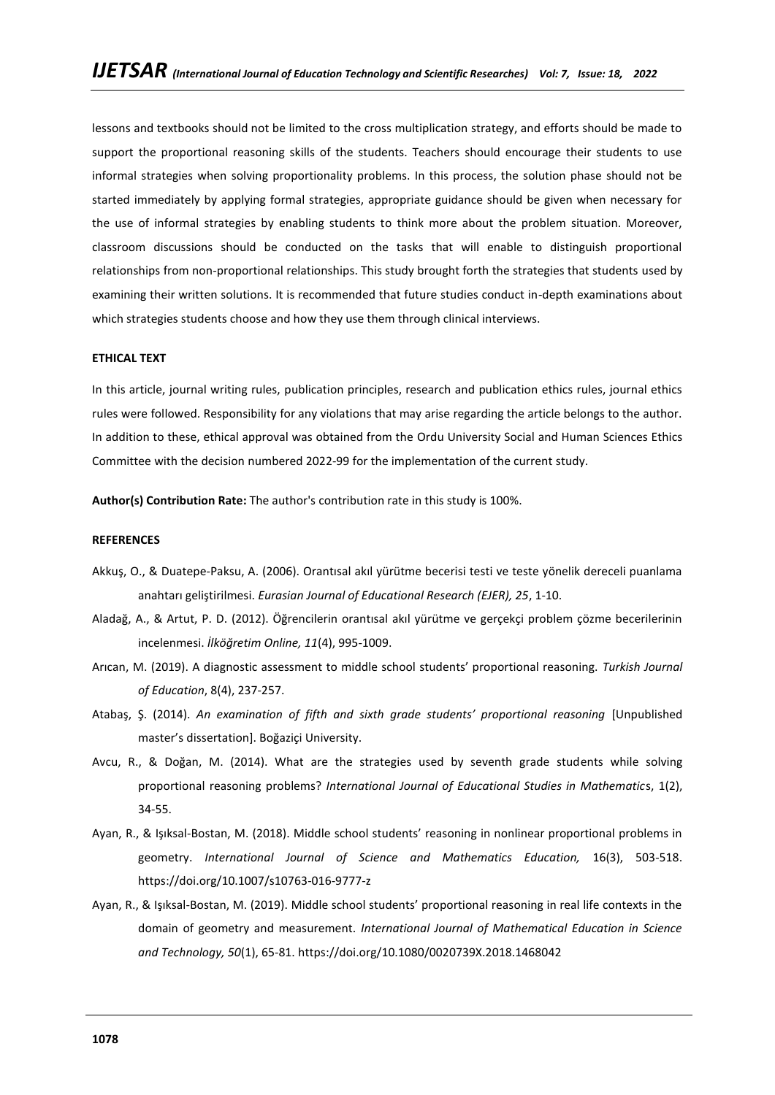lessons and textbooks should not be limited to the cross multiplication strategy, and efforts should be made to support the proportional reasoning skills of the students. Teachers should encourage their students to use informal strategies when solving proportionality problems. In this process, the solution phase should not be started immediately by applying formal strategies, appropriate guidance should be given when necessary for the use of informal strategies by enabling students to think more about the problem situation. Moreover, classroom discussions should be conducted on the tasks that will enable to distinguish proportional relationships from non-proportional relationships. This study brought forth the strategies that students used by examining their written solutions. It is recommended that future studies conduct in-depth examinations about which strategies students choose and how they use them through clinical interviews.

#### **ETHICAL TEXT**

In this article, journal writing rules, publication principles, research and publication ethics rules, journal ethics rules were followed. Responsibility for any violations that may arise regarding the article belongs to the author. In addition to these, ethical approval was obtained from the Ordu University Social and Human Sciences Ethics Committee with the decision numbered 2022-99 for the implementation of the current study.

**Author(s) Contribution Rate:** The author's contribution rate in this study is 100%.

#### **REFERENCES**

- Akkuş, O., & Duatepe-Paksu, A. (2006). Orantısal akıl yürütme becerisi testi ve teste yönelik dereceli puanlama anahtarı geliştirilmesi. *Eurasian Journal of Educational Research (EJER), 25*, 1-10.
- Aladağ, A., & Artut, P. D. (2012). Öğrencilerin orantısal akıl yürütme ve gerçekçi problem çözme becerilerinin incelenmesi. *İlköğretim Online, 11*(4), 995-1009.
- Arıcan, M. (2019). A diagnostic assessment to middle school students' proportional reasoning. *Turkish Journal of Education*, 8(4), 237-257.
- Atabaş, Ş. (2014). *An examination of fifth and sixth grade students' proportional reasoning* [Unpublished master's dissertation]. Boğaziçi University.
- Avcu, R., & Doğan, M. (2014). What are the strategies used by seventh grade students while solving proportional reasoning problems? *International Journal of Educational Studies in Mathematic*s, 1(2), 34-55.
- Ayan, R., & Işıksal-Bostan, M. (2018). Middle school students' reasoning in nonlinear proportional problems in geometry. *International Journal of Science and Mathematics Education,* 16(3), 503-518. <https://doi.org/10.1007/s10763-016-9777-z>
- Ayan, R., & Işıksal-Bostan, M. (2019). Middle school students' proportional reasoning in real life contexts in the domain of geometry and measurement. *International Journal of Mathematical Education in Science and Technology, 50*(1), 65-81.<https://doi.org/10.1080/0020739X.2018.1468042>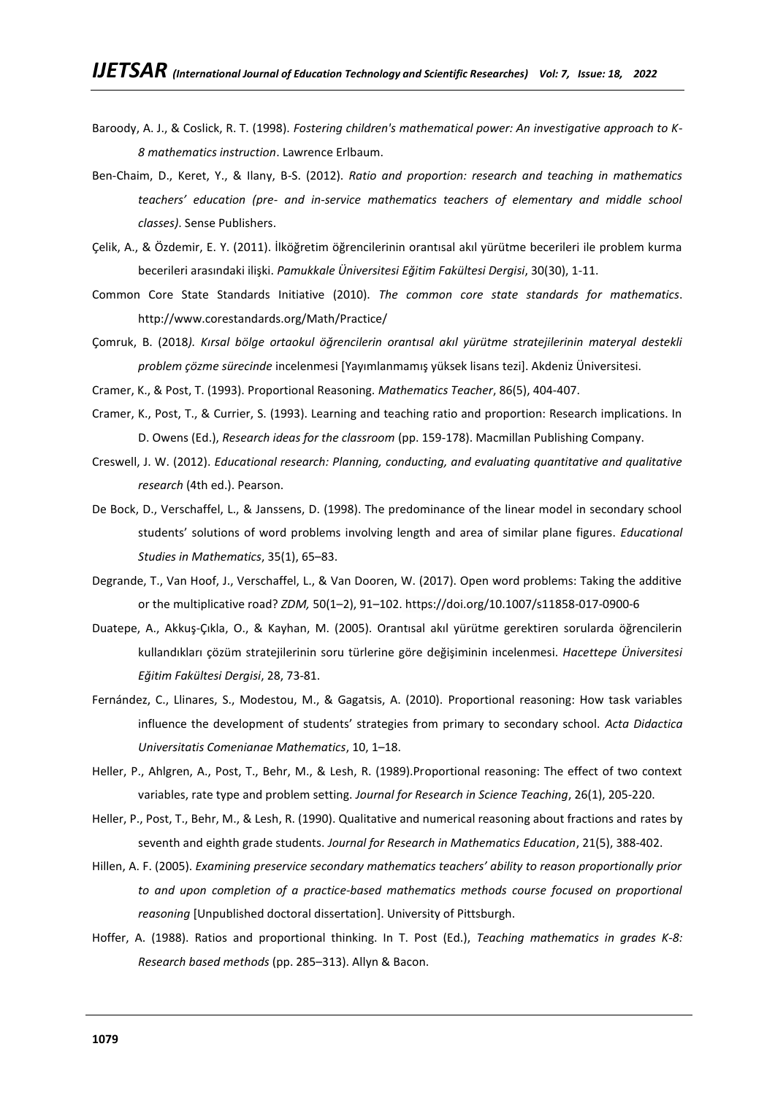- Baroody, A. J., & Coslick, R. T. (1998). *Fostering children's mathematical power: An investigative approach to K-8 mathematics instruction*. Lawrence Erlbaum.
- Ben-Chaim, D., Keret, Y., & Ilany, B-S. (2012). *Ratio and proportion: research and teaching in mathematics teachers' education (pre- and in-service mathematics teachers of elementary and middle school classes)*. Sense Publishers.
- Çelik, A., & Özdemir, E. Y. (2011). İlköğretim öğrencilerinin orantısal akıl yürütme becerileri ile problem kurma becerileri arasındaki ilişki. *Pamukkale Üniversitesi Eğitim Fakültesi Dergisi*, 30(30), 1-11.
- Common Core State Standards Initiative (2010). *The common core state standards for mathematics*. <http://www.corestandards.org/Math/Practice/>
- Çomruk, B. (2018*). Kırsal bölge ortaokul öğrencilerin orantısal akıl yürütme stratejilerinin materyal destekli problem çözme sürecinde* incelenmesi [Yayımlanmamış yüksek lisans tezi]. Akdeniz Üniversitesi.
- Cramer, K., & Post, T. (1993). Proportional Reasoning. *Mathematics Teacher*, 86(5), 404-407.
- Cramer, K., Post, T., & Currier, S. (1993). Learning and teaching ratio and proportion: Research implications. In D. Owens (Ed.), *Research ideas for the classroom* (pp. 159-178). Macmillan Publishing Company.
- Creswell, J. W. (2012). *Educational research: Planning, conducting, and evaluating quantitative and qualitative research* (4th ed.). Pearson.
- De Bock, D., Verschaffel, L., & Janssens, D. (1998). The predominance of the linear model in secondary school students' solutions of word problems involving length and area of similar plane figures. *Educational Studies in Mathematics*, 35(1), 65–83.
- Degrande, T., Van Hoof, J., Verschaffel, L., & Van Dooren, W. (2017). Open word problems: Taking the additive or the multiplicative road? *ZDM,* 50(1–2), 91–102. <https://doi.org/10.1007/s11858-017-0900-6>
- Duatepe, A., Akkuş-Çıkla, O., & Kayhan, M. (2005). Orantısal akıl yürütme gerektiren sorularda öğrencilerin kullandıkları çözüm stratejilerinin soru türlerine göre değişiminin incelenmesi. *Hacettepe Üniversitesi Eğitim Fakültesi Dergisi*, 28, 73-81.
- Fernández, C., Llinares, S., Modestou, M., & Gagatsis, A. (2010). Proportional reasoning: How task variables influence the development of students' strategies from primary to secondary school. *Acta Didactica Universitatis Comenianae Mathematics*, 10, 1–18.
- Heller, P., Ahlgren, A., Post, T., Behr, M., & Lesh, R. (1989).Proportional reasoning: The effect of two context variables, rate type and problem setting. *Journal for Research in Science Teaching*, 26(1), 205-220.
- Heller, P., Post, T., Behr, M., & Lesh, R. (1990). Qualitative and numerical reasoning about fractions and rates by seventh and eighth grade students. *Journal for Research in Mathematics Education*, 21(5), 388-402.
- Hillen, A. F. (2005). *Examining preservice secondary mathematics teachers' ability to reason proportionally prior to and upon completion of a practice-based mathematics methods course focused on proportional reasoning* [Unpublished doctoral dissertation]. University of Pittsburgh.
- Hoffer, A. (1988). Ratios and proportional thinking. In T. Post (Ed.), *Teaching mathematics in grades K-8: Research based methods* (pp. 285–313). Allyn & Bacon.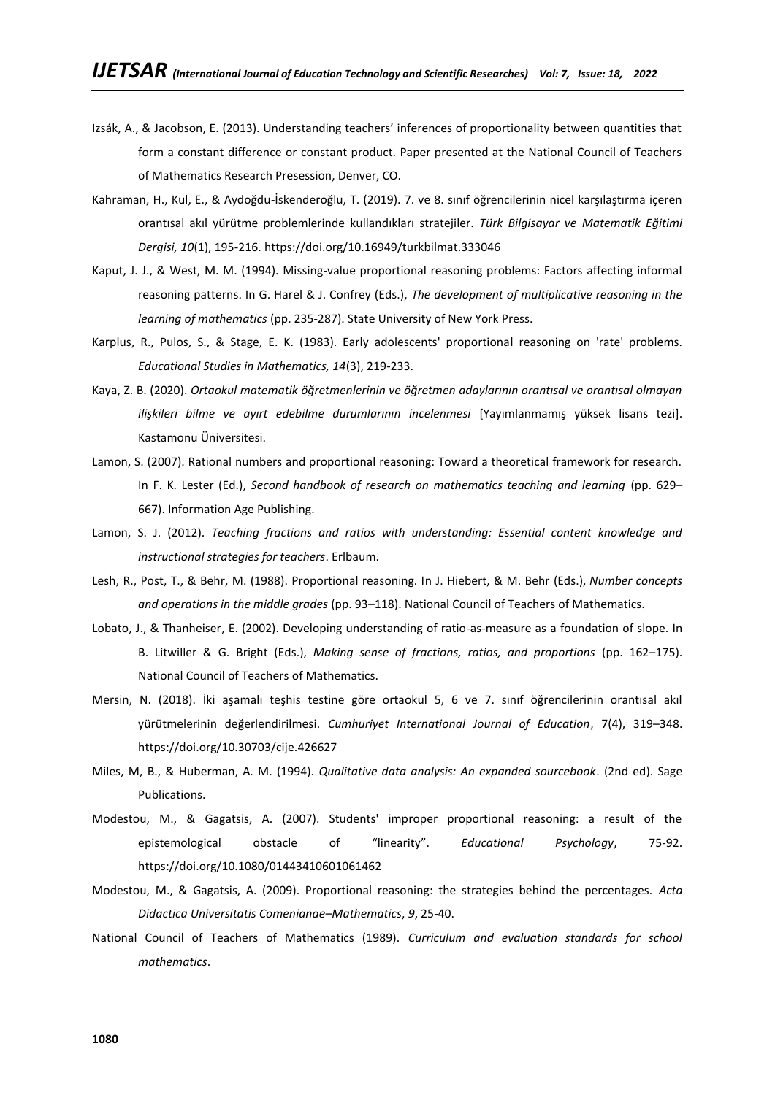- Izsák, A., & Jacobson, E. (2013). Understanding teachers' inferences of proportionality between quantities that form a constant difference or constant product. Paper presented at the National Council of Teachers of Mathematics Research Presession, Denver, CO.
- Kahraman, H., Kul, E., & Aydoğdu-İskenderoğlu, T. (2019). 7. ve 8. sınıf öğrencilerinin nicel karşılaştırma içeren orantısal akıl yürütme problemlerinde kullandıkları stratejiler. *Türk Bilgisayar ve Matematik Eğitimi Dergisi, 10*(1), 195-216.<https://doi.org/10.16949/turkbilmat.333046>
- Kaput, J. J., & West, M. M. (1994). Missing-value proportional reasoning problems: Factors affecting informal reasoning patterns. In G. Harel & J. Confrey (Eds.), *The development of multiplicative reasoning in the learning of mathematics* (pp. 235-287). State University of New York Press.
- Karplus, R., Pulos, S., & Stage, E. K. (1983). Early adolescents' proportional reasoning on 'rate' problems. *Educational Studies in Mathematics, 14*(3), 219-233.
- Kaya, Z. B. (2020). *Ortaokul matematik öğretmenlerinin ve öğretmen adaylarının orantısal ve orantısal olmayan*  ilişkileri bilme ve ayırt edebilme durumlarının incelenmesi [Yayımlanmamış yüksek lisans tezi]. Kastamonu Üniversitesi.
- Lamon, S. (2007). Rational numbers and proportional reasoning: Toward a theoretical framework for research. In F. K. Lester (Ed.), *Second handbook of research on mathematics teaching and learning* (pp. 629– 667). Information Age Publishing.
- Lamon, S. J. (2012). *Teaching fractions and ratios with understanding: Essential content knowledge and instructional strategies for teachers*. Erlbaum.
- Lesh, R., Post, T., & Behr, M. (1988). Proportional reasoning. In J. Hiebert, & M. Behr (Eds.), *Number concepts and operations in the middle grades* (pp. 93–118). National Council of Teachers of Mathematics.
- Lobato, J., & Thanheiser, E. (2002). Developing understanding of ratio-as-measure as a foundation of slope. In B. Litwiller & G. Bright (Eds.), *Making sense of fractions, ratios, and proportions* (pp. 162–175). National Council of Teachers of Mathematics.
- Mersin, N. (2018). İki aşamalı teşhis testine göre ortaokul 5, 6 ve 7. sınıf öğrencilerinin orantısal akıl yürütmelerinin değerlendirilmesi. *Cumhuriyet International Journal of Education*, 7(4), 319–348. <https://doi.org/10.30703/cije.426627>
- Miles, M, B., & Huberman, A. M. (1994). *Qualitative data analysis: An expanded sourcebook*. (2nd ed). Sage Publications.
- Modestou, M., & Gagatsis, A. (2007). Students' improper proportional reasoning: a result of the epistemological obstacle of "linearity". *Educational Psychology*, 75-92. <https://doi.org/10.1080/01443410601061462>
- Modestou, M., & Gagatsis, A. (2009). Proportional reasoning: the strategies behind the percentages. *Acta Didactica Universitatis Comenianae–Mathematics*, *9*, 25-40.
- National Council of Teachers of Mathematics (1989). *Curriculum and evaluation standards for school mathematics*.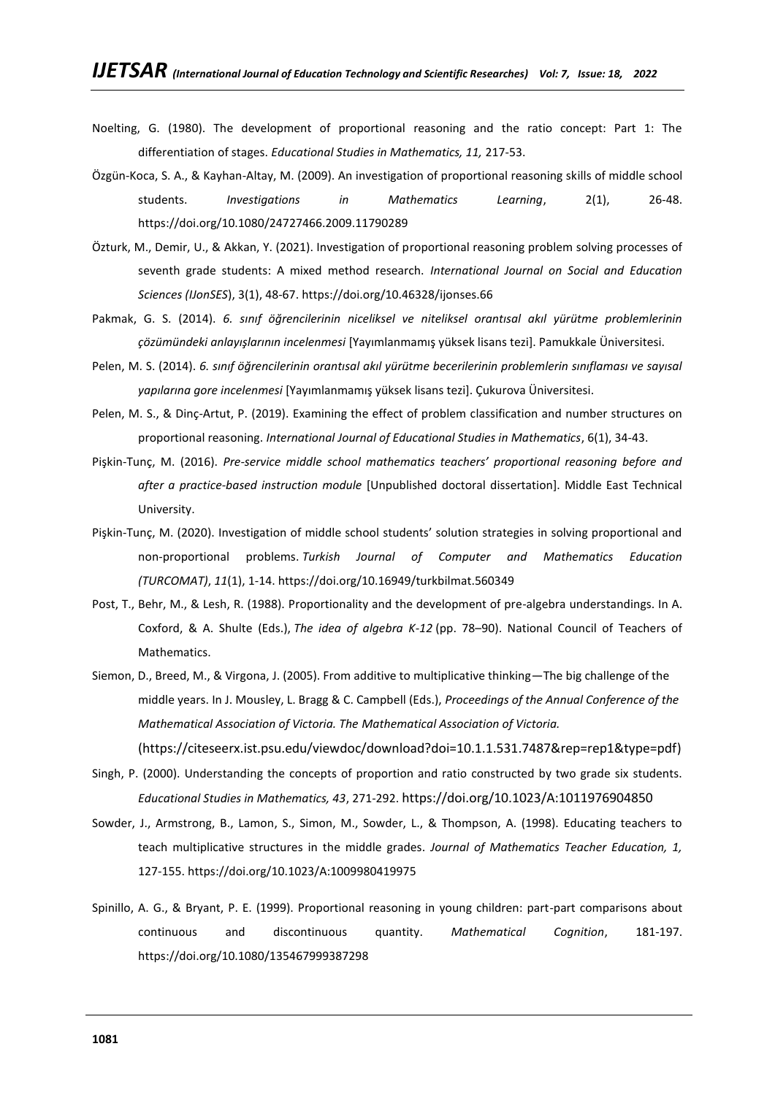- Noelting, G. (1980). The development of proportional reasoning and the ratio concept: Part 1: The differentiation of stages. *Educational Studies in Mathematics, 11,* 217-53.
- Özgün-Koca, S. A., & Kayhan-Altay, M. (2009). An investigation of proportional reasoning skills of middle school students. *Investigations in Mathematics Learning*, 2(1), 26-48. <https://doi.org/10.1080/24727466.2009.11790289>
- Özturk, M., Demir, U., & Akkan, Y. (2021). Investigation of proportional reasoning problem solving processes of seventh grade students: A mixed method research. *International Journal on Social and Education Sciences (IJonSES*), 3(1), 48-67.<https://doi.org/10.46328/ijonses.66>
- Pakmak, G. S. (2014). *6. sınıf öğrencilerinin niceliksel ve niteliksel orantısal akıl yürütme problemlerinin çözümündeki anlayışlarının incelenmesi* [Yayımlanmamış yüksek lisans tezi]. Pamukkale Üniversitesi.
- Pelen, M. S. (2014). *6. sınıf öğrencilerinin orantısal akıl yürütme becerilerinin problemlerin sınıflaması ve sayısal yapılarına gore incelenmesi* [Yayımlanmamış yüksek lisans tezi]. Çukurova Üniversitesi.
- Pelen, M. S., & Dinç-Artut, P. (2019). Examining the effect of problem classification and number structures on proportional reasoning. *International Journal of Educational Studies in Mathematics*, 6(1), 34-43.
- Pişkin-Tunç, M. (2016). *Pre-service middle school mathematics teachers' proportional reasoning before and after a practice-based instruction module* [Unpublished doctoral dissertation]. Middle East Technical University.
- Pişkin-Tunç, M. (2020). Investigation of middle school students' solution strategies in solving proportional and non-proportional problems. *Turkish Journal of Computer and Mathematics Education (TURCOMAT)*, *11*(1), 1-14.<https://doi.org/10.16949/turkbilmat.560349>
- Post, T., Behr, M., & Lesh, R. (1988). Proportionality and the development of pre-algebra understandings. In A. Coxford, & A. Shulte (Eds.), *The idea of algebra K-12* (pp. 78–90). National Council of Teachers of Mathematics.
- Siemon, D., Breed, M., & Virgona, J. (2005). From additive to multiplicative thinking—The big challenge of the middle years. In J. Mousley, L. Bragg & C. Campbell (Eds.), *Proceedings of the Annual Conference of the Mathematical Association of Victoria. The Mathematical Association of Victoria.*

[\(https://citeseerx.ist.psu.edu/viewdoc/download?doi=10.1.1.531.7487&rep=rep1&type=pdf\)](https://citeseerx.ist.psu.edu/viewdoc/download?doi=10.1.1.531.7487&rep=rep1&type=pdf)

- Singh, P. (2000). Understanding the concepts of proportion and ratio constructed by two grade six students. *Educational Studies in Mathematics, 43*, 271-292. <https://doi.org/10.1023/A:1011976904850>
- Sowder, J., Armstrong, B., Lamon, S., Simon, M., Sowder, L., & Thompson, A. (1998). Educating teachers to teach multiplicative structures in the middle grades. *Journal of Mathematics Teacher Education, 1,*  127-155[. https://doi.org/10.1023/A:1009980419975](https://doi.org/10.1023/A:1009980419975)
- Spinillo, A. G., & Bryant, P. E. (1999). Proportional reasoning in young children: part-part comparisons about continuous and discontinuous quantity. *Mathematical Cognition*, 181-197. <https://doi.org/10.1080/135467999387298>